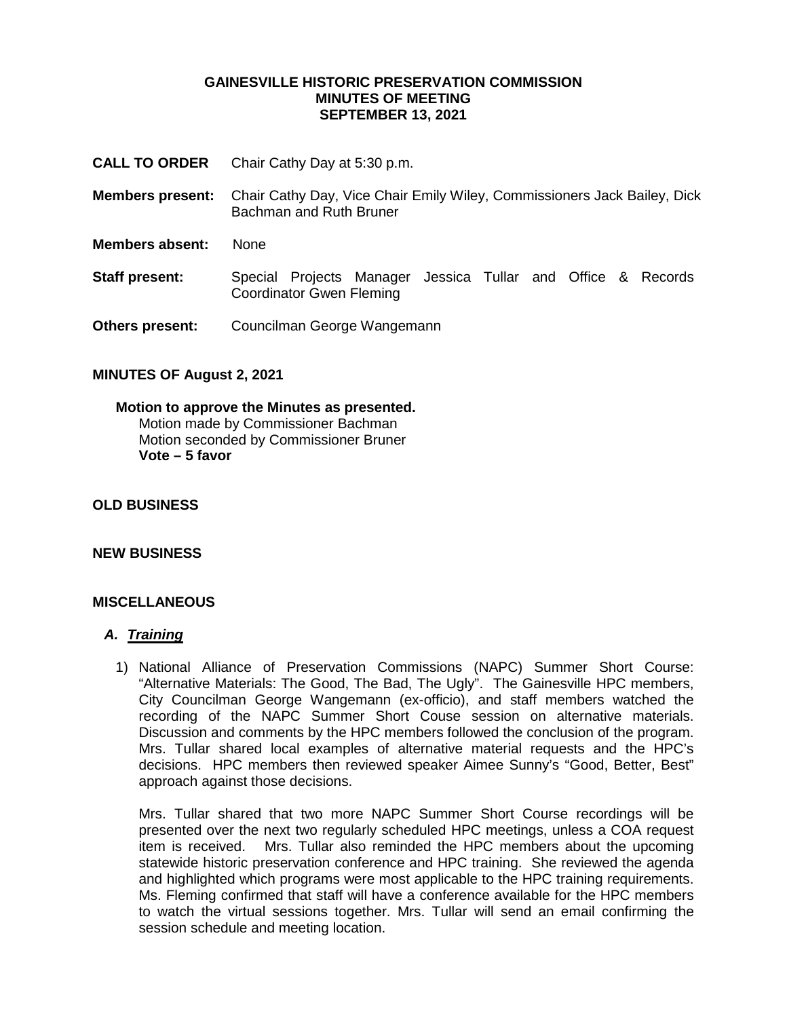#### **GAINESVILLE HISTORIC PRESERVATION COMMISSION MINUTES OF MEETING SEPTEMBER 13, 2021**

- **CALL TO ORDER** Chair Cathy Day at 5:30 p.m.
- **Members present:** Chair Cathy Day, Vice Chair Emily Wiley, Commissioners Jack Bailey, Dick Bachman and Ruth Bruner
- **Members absent:** None
- **Staff present:** Special Projects Manager Jessica Tullar and Office & Records Coordinator Gwen Fleming
- **Others present:** Councilman George Wangemann

# **MINUTES OF August 2, 2021**

#### **Motion to approve the Minutes as presented.** Motion made by Commissioner Bachman Motion seconded by Commissioner Bruner **Vote – 5 favor**

#### **OLD BUSINESS**

### **NEW BUSINESS**

### **MISCELLANEOUS**

#### *A. Training*

1) National Alliance of Preservation Commissions (NAPC) Summer Short Course: "Alternative Materials: The Good, The Bad, The Ugly". The Gainesville HPC members, City Councilman George Wangemann (ex-officio), and staff members watched the recording of the NAPC Summer Short Couse session on alternative materials. Discussion and comments by the HPC members followed the conclusion of the program. Mrs. Tullar shared local examples of alternative material requests and the HPC's decisions. HPC members then reviewed speaker Aimee Sunny's "Good, Better, Best" approach against those decisions.

Mrs. Tullar shared that two more NAPC Summer Short Course recordings will be presented over the next two regularly scheduled HPC meetings, unless a COA request item is received. Mrs. Tullar also reminded the HPC members about the upcoming statewide historic preservation conference and HPC training. She reviewed the agenda and highlighted which programs were most applicable to the HPC training requirements. Ms. Fleming confirmed that staff will have a conference available for the HPC members to watch the virtual sessions together. Mrs. Tullar will send an email confirming the session schedule and meeting location.